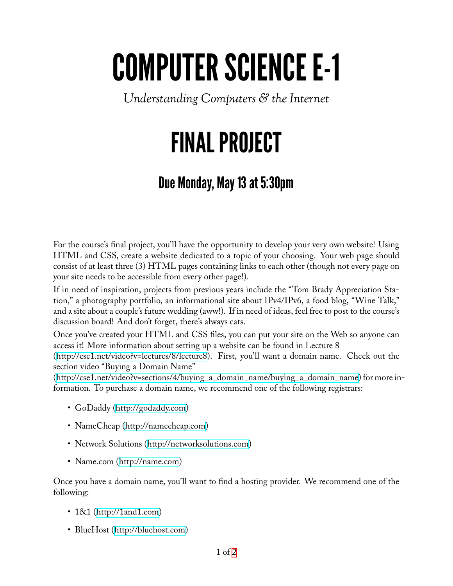## COMPUTER SCIENCE E-1

*Understanding Computers & the Internet*

## FINAL PROJECT

## Due Monday, May 13 at 5:30pm

For the course's final project, you'll have the opportunity to develop your very own website! Using HTML and CSS, create a website dedicated to a topic of your choosing. Your web page should consist of at least three (3) HTML pages containing links to each other (though not every page on your site needs to be accessible from every other page!).

If in need of inspiration, projects from previous years include the "Tom Brady Appreciation Station," a photography portfolio, an informational site about IPv4/IPv6, a food blog, "Wine Talk," and a site about a couple's future wedding (aww!). If in need of ideas, feel free to post to the course's discussion board! And don't forget, there's always cats.

Once you've created your HTML and CSS files, you can put your site on the Web so anyone can access it! More information about setting up a website can be found in Lecture 8

(<http://cse1.net/video?v=lectures/8/lecture8>). First, you'll want a domain name. Check out the section video "Buying a Domain Name"

([http://cse1.net/video?v=sections/4/buying\\_a\\_domain\\_name/buying\\_a\\_domain\\_name\)](http://cse1.net/video?v=sections/4/buying_a_domain_name/buying_a_domain_name) for more information. To purchase a domain name, we recommend one of the following registrars:

- GoDaddy [\(http://godaddy.com](http://godaddy.com))
- NameCheap [\(http://namecheap.com\)](http://namecheap.com)
- Network Solutions(<http://networksolutions.com>)
- •Name.com (<http://name.com>)

Once you have a domain name, you'll want to find a hosting provider. We recommend one of the following:

- 1&1 [\(http://1and1.com\)](http://1and1.com)
- BlueHost(<http://bluehost.com>)